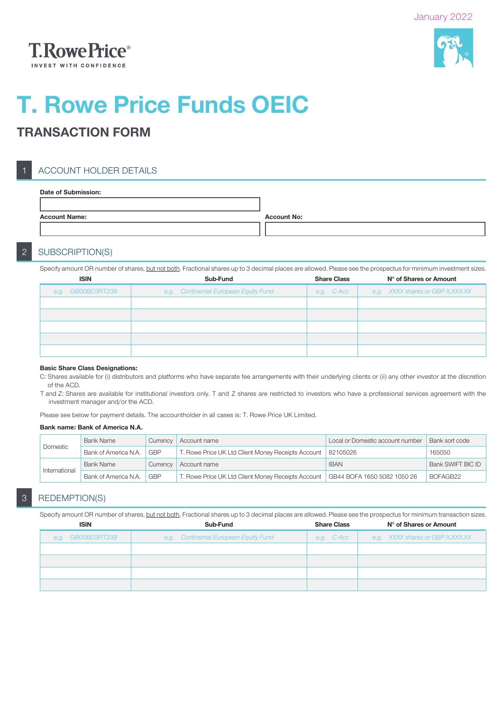



# T. Rowe Price Funds OEIC

# TRANSACTION FORM

# ACCOUNT HOLDER DETAILS

| <b>Account No:</b> |
|--------------------|
|                    |
|                    |

## 2 SUBSCRIPTION(S)

Specify amount OR number of shares, but not both. Fractional shares up to 3 decimal places are allowed. Please see the prospectus for minimum investment sizes.

| <b>ISIN</b>       | Sub-Fund                              | <b>Share Class</b> | N° of Shares or Amount             |
|-------------------|---------------------------------------|--------------------|------------------------------------|
| e.g. GB00BD3RT239 | e.g. Continental European Equity Fund | e.g. CAcc          | e.g. XXXX shares or GBP X, XXX. XX |
|                   |                                       |                    |                                    |
|                   |                                       |                    |                                    |
|                   |                                       |                    |                                    |
|                   |                                       |                    |                                    |
|                   |                                       |                    |                                    |

#### Basic Share Class Designations:

C: Shares available for (i) distributors and platforms who have separate fee arrangements with their underlying clients or (ii) any other investor at the discretion of the ACD.

T and Z: Shares are available for institutional investors only. T and Z shares are restricted to investors who have a professional services agreement with the investment manager and/or the ACD.

Please see below for payment details. The accountholder in all cases is: T. Rowe Price UK Limited.

#### Bank name: Bank of America N.A.

|               | <b>Bank Name</b><br>Currency<br>Account name<br>Domestic<br><b>GBP</b><br>Bank of America N.A.<br>T. Rowe Price UK Ltd Client Money Receipts Account |            |                                                    | Local or Domestic account number | Bank sort code    |
|---------------|------------------------------------------------------------------------------------------------------------------------------------------------------|------------|----------------------------------------------------|----------------------------------|-------------------|
|               |                                                                                                                                                      |            | 82105026                                           | 165050                           |                   |
|               | <b>Bank Name</b>                                                                                                                                     | Currency   | Account name                                       | <b>IBAN</b>                      | Bank SWIFT BIC ID |
| International | Bank of America N.A.                                                                                                                                 | <b>GBP</b> | T. Rowe Price UK Ltd Client Money Receipts Account | GB44 BOFA 1650 5082 1050 26      | BOFAGB22          |

## 3 REDEMPTION(S)

Specify amount OR number of shares, but not both. Fractional shares up to 3 decimal places are allowed. Please see the prospectus for minimum transaction sizes.

| <b>ISIN</b>       | Sub-Fund                              | <b>Share Class</b> | N° of Shares or Amount           |  |
|-------------------|---------------------------------------|--------------------|----------------------------------|--|
| e.g. GB00BD3RT239 | e.g. Continental European Equity Fund | e.g. C Acc         | e.g. XXXX shares or GBP X,XXX.XX |  |
|                   |                                       |                    |                                  |  |
|                   |                                       |                    |                                  |  |
|                   |                                       |                    |                                  |  |
|                   |                                       |                    |                                  |  |